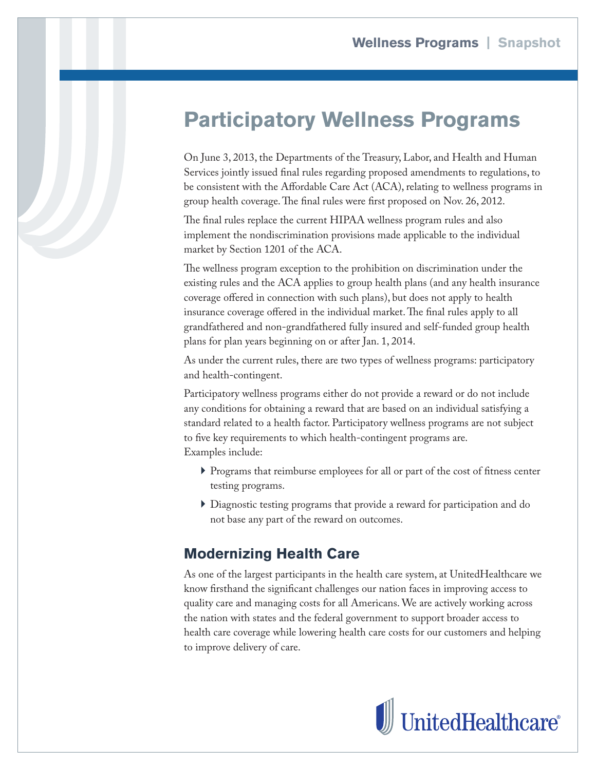## **Participatory Wellness Programs**

On June 3, 2013, the Departments of the Treasury, Labor, and Health and Human Services jointly issued final rules regarding proposed amendments to regulations, to be consistent with the Affordable Care Act (ACA), relating to wellness programs in group health coverage. The final rules were first proposed on Nov. 26, 2012.

The final rules replace the current HIPAA wellness program rules and also implement the nondiscrimination provisions made applicable to the individual market by Section 1201 of the ACA.

The wellness program exception to the prohibition on discrimination under the existing rules and the ACA applies to group health plans (and any health insurance coverage offered in connection with such plans), but does not apply to health insurance coverage offered in the individual market. The final rules apply to all grandfathered and non-grandfathered fully insured and self-funded group health plans for plan years beginning on or after Jan. 1, 2014.

As under the current rules, there are two types of wellness programs: participatory and health-contingent.

Participatory wellness programs either do not provide a reward or do not include any conditions for obtaining a reward that are based on an individual satisfying a standard related to a health factor. Participatory wellness programs are not subject to five key requirements to which health-contingent programs are. Examples include:

- } Programs that reimburse employees for all or part of the cost of fitness center testing programs.
- } Diagnostic testing programs that provide a reward for participation and do not base any part of the reward on outcomes.

## **Modernizing Health Care**

As one of the largest participants in the health care system, at UnitedHealthcare we know firsthand the significant challenges our nation faces in improving access to quality care and managing costs for all Americans. We are actively working across the nation with states and the federal government to support broader access to health care coverage while lowering health care costs for our customers and helping to improve delivery of care.